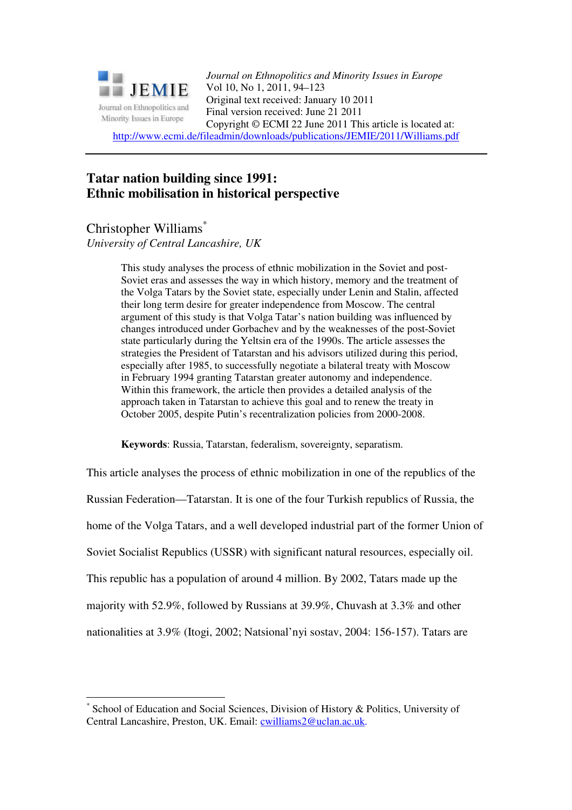

*Journal on Ethnopolitics and Minority Issues in Europe* Vol 10, No 1, 2011, 94–123 Original text received: January 10 2011 Final version received: June 21 2011 Copyright © ECMI 22 June 2011 This article is located at:

http://www.ecmi.de/fileadmin/downloads/publications/JEMIE/2011/Williams.pdf

# **Tatar nation building since 1991: Ethnic mobilisation in historical perspective**

# Christopher Williams\*

 $\overline{a}$ 

*University of Central Lancashire, UK* 

This study analyses the process of ethnic mobilization in the Soviet and post-Soviet eras and assesses the way in which history, memory and the treatment of the Volga Tatars by the Soviet state, especially under Lenin and Stalin, affected their long term desire for greater independence from Moscow. The central argument of this study is that Volga Tatar's nation building was influenced by changes introduced under Gorbachev and by the weaknesses of the post-Soviet state particularly during the Yeltsin era of the 1990s. The article assesses the strategies the President of Tatarstan and his advisors utilized during this period, especially after 1985, to successfully negotiate a bilateral treaty with Moscow in February 1994 granting Tatarstan greater autonomy and independence. Within this framework, the article then provides a detailed analysis of the approach taken in Tatarstan to achieve this goal and to renew the treaty in October 2005, despite Putin's recentralization policies from 2000-2008.

**Keywords**: Russia, Tatarstan, federalism, sovereignty, separatism.

This article analyses the process of ethnic mobilization in one of the republics of the Russian Federation—Tatarstan. It is one of the four Turkish republics of Russia, the home of the Volga Tatars, and a well developed industrial part of the former Union of Soviet Socialist Republics (USSR) with significant natural resources, especially oil. This republic has a population of around 4 million. By 2002, Tatars made up the majority with 52.9%, followed by Russians at 39.9%, Chuvash at 3.3% and other nationalities at 3.9% (Itogi, 2002; Natsional'nyi sostav, 2004: 156-157). Tatars are

<sup>\*</sup> School of Education and Social Sciences, Division of History & Politics, University of Central Lancashire, Preston, UK. Email: cwilliams2@uclan.ac.uk.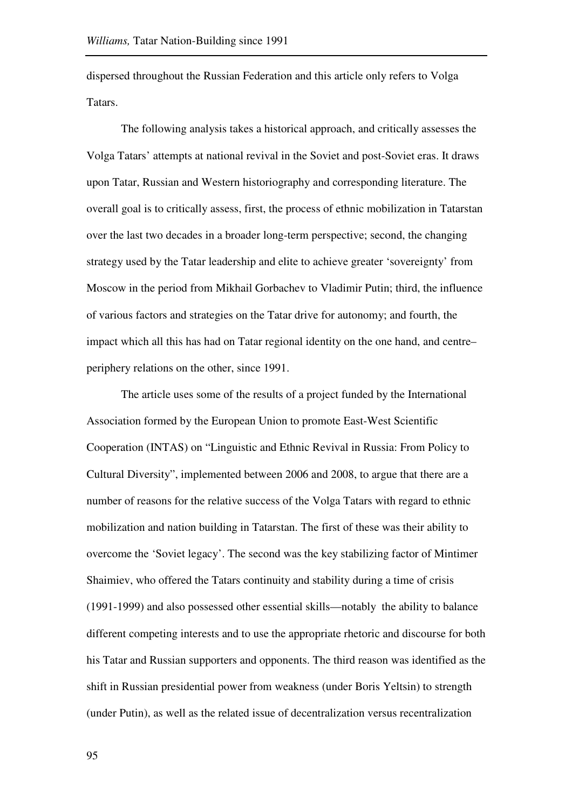dispersed throughout the Russian Federation and this article only refers to Volga Tatars.

The following analysis takes a historical approach, and critically assesses the Volga Tatars' attempts at national revival in the Soviet and post-Soviet eras. It draws upon Tatar, Russian and Western historiography and corresponding literature. The overall goal is to critically assess, first, the process of ethnic mobilization in Tatarstan over the last two decades in a broader long-term perspective; second, the changing strategy used by the Tatar leadership and elite to achieve greater 'sovereignty' from Moscow in the period from Mikhail Gorbachev to Vladimir Putin; third, the influence of various factors and strategies on the Tatar drive for autonomy; and fourth, the impact which all this has had on Tatar regional identity on the one hand, and centre– periphery relations on the other, since 1991.

The article uses some of the results of a project funded by the International Association formed by the European Union to promote East-West Scientific Cooperation (INTAS) on "Linguistic and Ethnic Revival in Russia: From Policy to Cultural Diversity", implemented between 2006 and 2008, to argue that there are a number of reasons for the relative success of the Volga Tatars with regard to ethnic mobilization and nation building in Tatarstan. The first of these was their ability to overcome the 'Soviet legacy'. The second was the key stabilizing factor of Mintimer Shaimiev, who offered the Tatars continuity and stability during a time of crisis (1991-1999) and also possessed other essential skills—notably the ability to balance different competing interests and to use the appropriate rhetoric and discourse for both his Tatar and Russian supporters and opponents. The third reason was identified as the shift in Russian presidential power from weakness (under Boris Yeltsin) to strength (under Putin), as well as the related issue of decentralization versus recentralization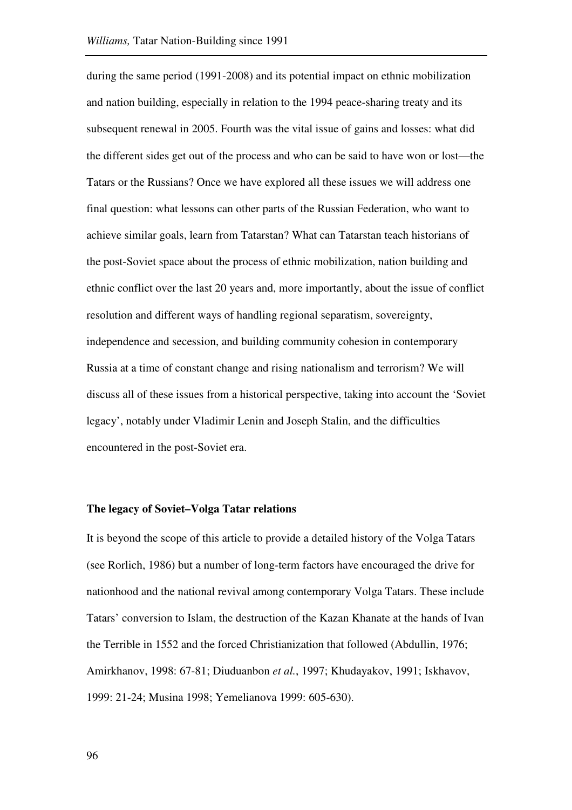during the same period (1991-2008) and its potential impact on ethnic mobilization and nation building, especially in relation to the 1994 peace-sharing treaty and its subsequent renewal in 2005. Fourth was the vital issue of gains and losses: what did the different sides get out of the process and who can be said to have won or lost—the Tatars or the Russians? Once we have explored all these issues we will address one final question: what lessons can other parts of the Russian Federation, who want to achieve similar goals, learn from Tatarstan? What can Tatarstan teach historians of the post-Soviet space about the process of ethnic mobilization, nation building and ethnic conflict over the last 20 years and, more importantly, about the issue of conflict resolution and different ways of handling regional separatism, sovereignty, independence and secession, and building community cohesion in contemporary Russia at a time of constant change and rising nationalism and terrorism? We will discuss all of these issues from a historical perspective, taking into account the 'Soviet legacy', notably under Vladimir Lenin and Joseph Stalin, and the difficulties encountered in the post-Soviet era.

### **The legacy of Soviet–Volga Tatar relations**

It is beyond the scope of this article to provide a detailed history of the Volga Tatars (see Rorlich, 1986) but a number of long-term factors have encouraged the drive for nationhood and the national revival among contemporary Volga Tatars. These include Tatars' conversion to Islam, the destruction of the Kazan Khanate at the hands of Ivan the Terrible in 1552 and the forced Christianization that followed (Abdullin, 1976; Amirkhanov, 1998: 67-81; Diuduanbon *et al.*, 1997; Khudayakov, 1991; Iskhavov, 1999: 21-24; Musina 1998; Yemelianova 1999: 605-630).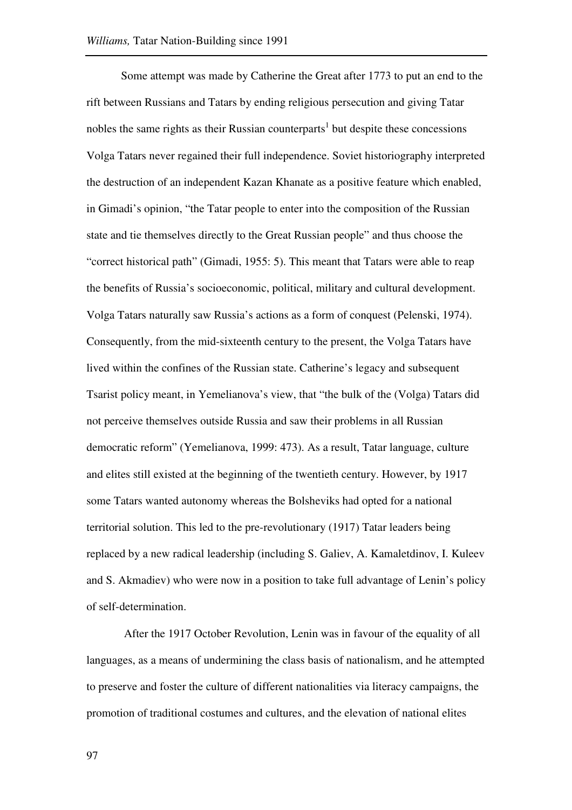Some attempt was made by Catherine the Great after 1773 to put an end to the rift between Russians and Tatars by ending religious persecution and giving Tatar nobles the same rights as their Russian counterparts<sup>1</sup> but despite these concessions Volga Tatars never regained their full independence. Soviet historiography interpreted the destruction of an independent Kazan Khanate as a positive feature which enabled, in Gimadi's opinion, "the Tatar people to enter into the composition of the Russian state and tie themselves directly to the Great Russian people" and thus choose the "correct historical path" (Gimadi, 1955: 5). This meant that Tatars were able to reap the benefits of Russia's socioeconomic, political, military and cultural development. Volga Tatars naturally saw Russia's actions as a form of conquest (Pelenski, 1974). Consequently, from the mid-sixteenth century to the present, the Volga Tatars have lived within the confines of the Russian state. Catherine's legacy and subsequent Tsarist policy meant, in Yemelianova's view, that "the bulk of the (Volga) Tatars did not perceive themselves outside Russia and saw their problems in all Russian democratic reform" (Yemelianova, 1999: 473). As a result, Tatar language, culture and elites still existed at the beginning of the twentieth century. However, by 1917 some Tatars wanted autonomy whereas the Bolsheviks had opted for a national territorial solution. This led to the pre-revolutionary (1917) Tatar leaders being replaced by a new radical leadership (including S. Galiev, A. Kamaletdinov, I. Kuleev and S. Akmadiev) who were now in a position to take full advantage of Lenin's policy of self-determination.

After the 1917 October Revolution, Lenin was in favour of the equality of all languages, as a means of undermining the class basis of nationalism, and he attempted to preserve and foster the culture of different nationalities via literacy campaigns, the promotion of traditional costumes and cultures, and the elevation of national elites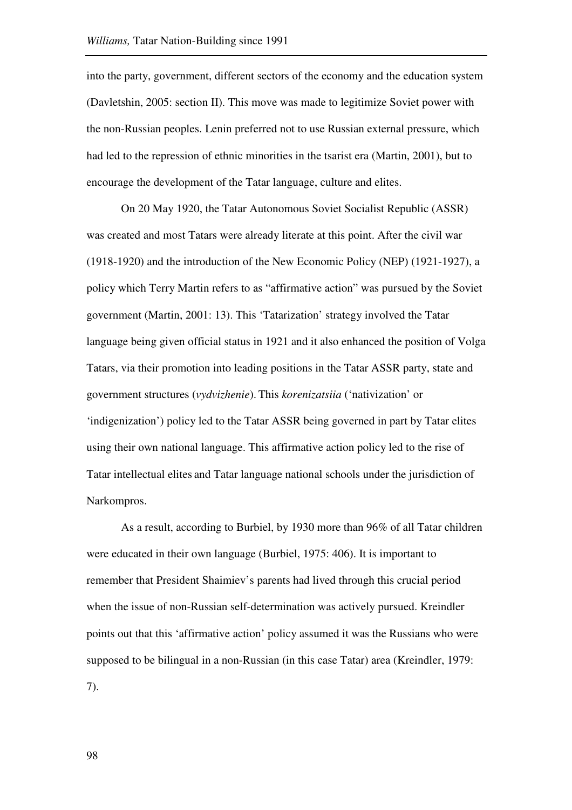into the party, government, different sectors of the economy and the education system (Davletshin, 2005: section II). This move was made to legitimize Soviet power with the non-Russian peoples. Lenin preferred not to use Russian external pressure, which had led to the repression of ethnic minorities in the tsarist era (Martin, 2001), but to encourage the development of the Tatar language, culture and elites.

On 20 May 1920, the Tatar Autonomous Soviet Socialist Republic (ASSR) was created and most Tatars were already literate at this point. After the civil war (1918-1920) and the introduction of the New Economic Policy (NEP) (1921-1927), a policy which Terry Martin refers to as "affirmative action" was pursued by the Soviet government (Martin, 2001: 13). This 'Tatarization' strategy involved the Tatar language being given official status in 1921 and it also enhanced the position of Volga Tatars, via their promotion into leading positions in the Tatar ASSR party, state and government structures (*vydvizhenie*). This *korenizatsiia* ('nativization' or 'indigenization') policy led to the Tatar ASSR being governed in part by Tatar elites using their own national language. This affirmative action policy led to the rise of Tatar intellectual elites and Tatar language national schools under the jurisdiction of Narkompros.

As a result, according to Burbiel, by 1930 more than 96% of all Tatar children were educated in their own language (Burbiel, 1975: 406). It is important to remember that President Shaimiev's parents had lived through this crucial period when the issue of non-Russian self-determination was actively pursued. Kreindler points out that this 'affirmative action' policy assumed it was the Russians who were supposed to be bilingual in a non-Russian (in this case Tatar) area (Kreindler, 1979: 7).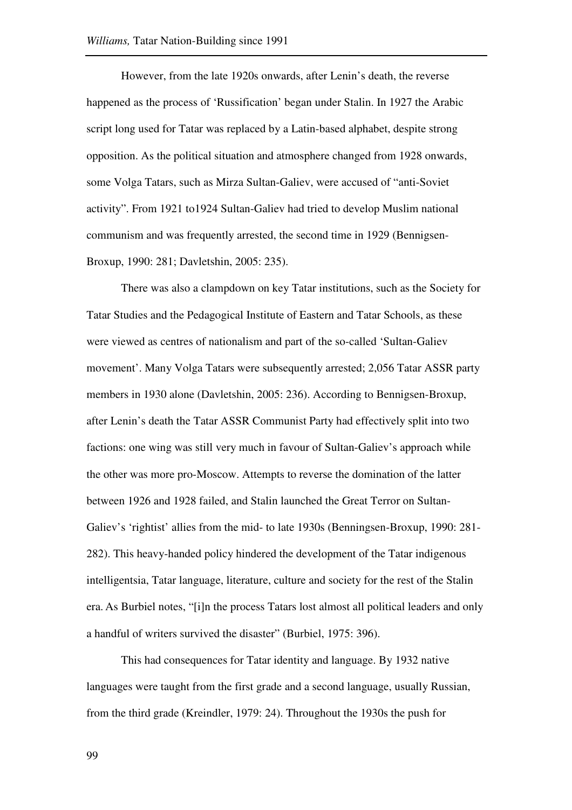However, from the late 1920s onwards, after Lenin's death, the reverse happened as the process of 'Russification' began under Stalin. In 1927 the Arabic script long used for Tatar was replaced by a Latin-based alphabet, despite strong opposition. As the political situation and atmosphere changed from 1928 onwards, some Volga Tatars, such as Mirza Sultan-Galiev, were accused of "anti-Soviet activity". From 1921 to1924 Sultan-Galiev had tried to develop Muslim national communism and was frequently arrested, the second time in 1929 (Bennigsen-Broxup, 1990: 281; Davletshin, 2005: 235).

There was also a clampdown on key Tatar institutions, such as the Society for Tatar Studies and the Pedagogical Institute of Eastern and Tatar Schools, as these were viewed as centres of nationalism and part of the so-called 'Sultan-Galiev movement'. Many Volga Tatars were subsequently arrested; 2,056 Tatar ASSR party members in 1930 alone (Davletshin, 2005: 236). According to Bennigsen-Broxup, after Lenin's death the Tatar ASSR Communist Party had effectively split into two factions: one wing was still very much in favour of Sultan-Galiev's approach while the other was more pro-Moscow. Attempts to reverse the domination of the latter between 1926 and 1928 failed, and Stalin launched the Great Terror on Sultan-Galiev's 'rightist' allies from the mid- to late 1930s (Benningsen-Broxup, 1990: 281- 282). This heavy-handed policy hindered the development of the Tatar indigenous intelligentsia, Tatar language, literature, culture and society for the rest of the Stalin era. As Burbiel notes, "[i]n the process Tatars lost almost all political leaders and only a handful of writers survived the disaster" (Burbiel, 1975: 396).

This had consequences for Tatar identity and language. By 1932 native languages were taught from the first grade and a second language, usually Russian, from the third grade (Kreindler, 1979: 24). Throughout the 1930s the push for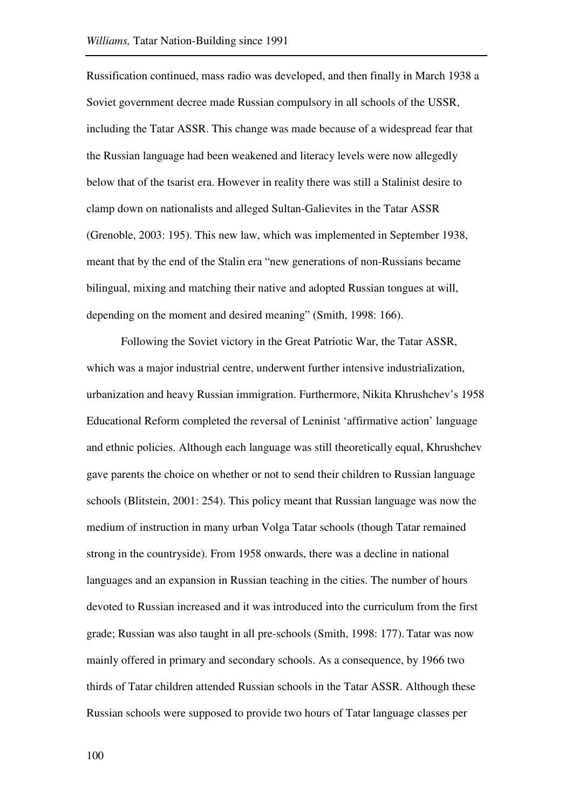Russification continued, mass radio was developed, and then finally in March 1938 a Soviet government decree made Russian compulsory in all schools of the USSR, including the Tatar ASSR. This change was made because of a widespread fear that the Russian language had been weakened and literacy levels were now allegedly below that of the tsarist era. However in reality there was still a Stalinist desire to clamp down on nationalists and alleged Sultan-Galievites in the Tatar ASSR (Grenoble, 2003: 195). This new law, which was implemented in September 1938, meant that by the end of the Stalin era "new generations of non-Russians became bilingual, mixing and matching their native and adopted Russian tongues at will, depending on the moment and desired meaning" (Smith, 1998: 166).

Following the Soviet victory in the Great Patriotic War, the Tatar ASSR, which was a major industrial centre, underwent further intensive industrialization, urbanization and heavy Russian immigration. Furthermore, Nikita Khrushchev's 1958 Educational Reform completed the reversal of Leninist 'affirmative action' language and ethnic policies. Although each language was still theoretically equal, Khrushchev gave parents the choice on whether or not to send their children to Russian language schools (Blitstein, 2001: 254). This policy meant that Russian language was now the medium of instruction in many urban Volga Tatar schools (though Tatar remained strong in the countryside). From 1958 onwards, there was a decline in national languages and an expansion in Russian teaching in the cities. The number of hours devoted to Russian increased and it was introduced into the curriculum from the first grade; Russian was also taught in all pre-schools (Smith, 1998: 177). Tatar was now mainly offered in primary and secondary schools. As a consequence, by 1966 two thirds of Tatar children attended Russian schools in the Tatar ASSR. Although these Russian schools were supposed to provide two hours of Tatar language classes per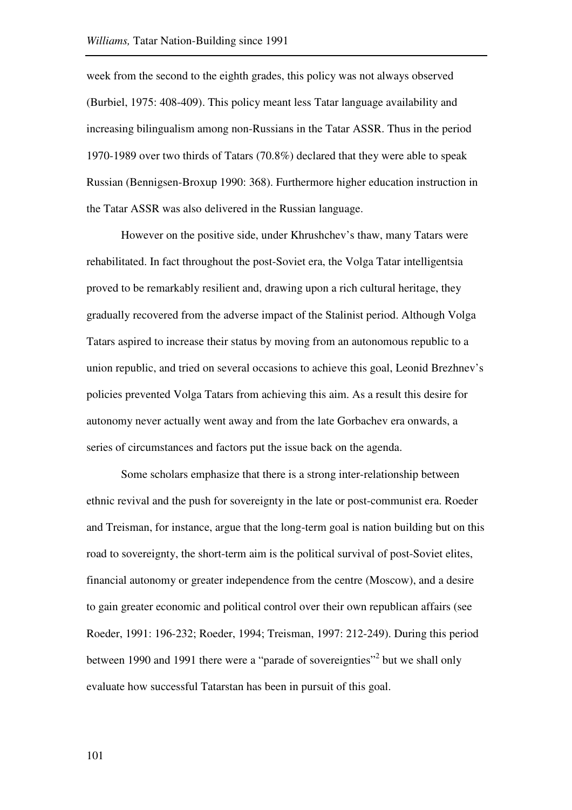week from the second to the eighth grades, this policy was not always observed (Burbiel, 1975: 408-409). This policy meant less Tatar language availability and increasing bilingualism among non-Russians in the Tatar ASSR. Thus in the period 1970-1989 over two thirds of Tatars (70.8%) declared that they were able to speak Russian (Bennigsen-Broxup 1990: 368). Furthermore higher education instruction in the Tatar ASSR was also delivered in the Russian language.

However on the positive side, under Khrushchev's thaw, many Tatars were rehabilitated. In fact throughout the post-Soviet era, the Volga Tatar intelligentsia proved to be remarkably resilient and, drawing upon a rich cultural heritage, they gradually recovered from the adverse impact of the Stalinist period. Although Volga Tatars aspired to increase their status by moving from an autonomous republic to a union republic, and tried on several occasions to achieve this goal, Leonid Brezhnev's policies prevented Volga Tatars from achieving this aim. As a result this desire for autonomy never actually went away and from the late Gorbachev era onwards, a series of circumstances and factors put the issue back on the agenda.

Some scholars emphasize that there is a strong inter-relationship between ethnic revival and the push for sovereignty in the late or post-communist era. Roeder and Treisman, for instance, argue that the long-term goal is nation building but on this road to sovereignty, the short-term aim is the political survival of post-Soviet elites, financial autonomy or greater independence from the centre (Moscow), and a desire to gain greater economic and political control over their own republican affairs (see Roeder, 1991: 196-232; Roeder, 1994; Treisman, 1997: 212-249). During this period between 1990 and 1991 there were a "parade of sovereignties"<sup>2</sup> but we shall only evaluate how successful Tatarstan has been in pursuit of this goal.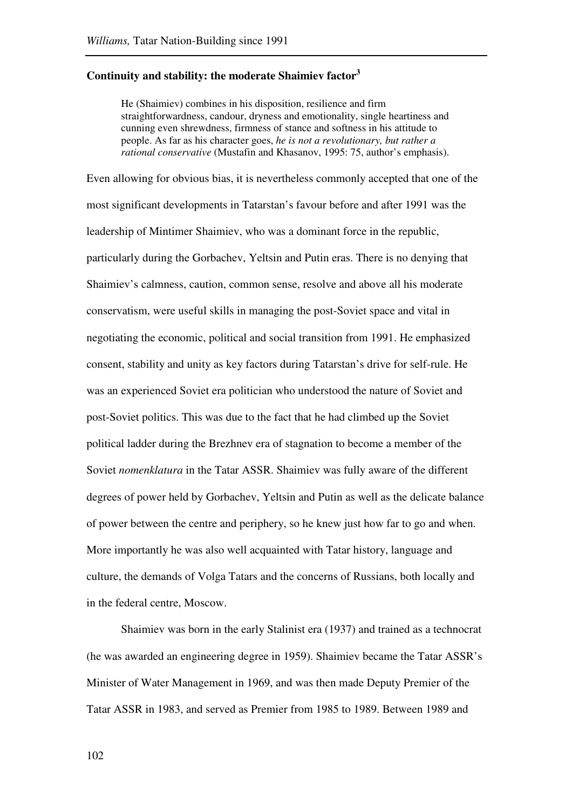# **Continuity and stability: the moderate Shaimiev factor<sup>3</sup>**

He (Shaimiev) combines in his disposition, resilience and firm straightforwardness, candour, dryness and emotionality, single heartiness and cunning even shrewdness, firmness of stance and softness in his attitude to people. As far as his character goes, *he is not a revolutionary, but rather a rational conservative* (Mustafin and Khasanov, 1995: 75, author's emphasis).

Even allowing for obvious bias, it is nevertheless commonly accepted that one of the most significant developments in Tatarstan's favour before and after 1991 was the leadership of Mintimer Shaimiev, who was a dominant force in the republic, particularly during the Gorbachev, Yeltsin and Putin eras. There is no denying that Shaimiev's calmness, caution, common sense, resolve and above all his moderate conservatism, were useful skills in managing the post-Soviet space and vital in negotiating the economic, political and social transition from 1991. He emphasized consent, stability and unity as key factors during Tatarstan's drive for self-rule. He was an experienced Soviet era politician who understood the nature of Soviet and post-Soviet politics. This was due to the fact that he had climbed up the Soviet political ladder during the Brezhnev era of stagnation to become a member of the Soviet *nomenklatura* in the Tatar ASSR. Shaimiev was fully aware of the different degrees of power held by Gorbachev, Yeltsin and Putin as well as the delicate balance of power between the centre and periphery, so he knew just how far to go and when. More importantly he was also well acquainted with Tatar history, language and culture, the demands of Volga Tatars and the concerns of Russians, both locally and in the federal centre, Moscow.

Shaimiev was born in the early Stalinist era (1937) and trained as a technocrat (he was awarded an engineering degree in 1959). Shaimiev became the Tatar ASSR's Minister of Water Management in 1969, and was then made Deputy Premier of the Tatar ASSR in 1983, and served as Premier from 1985 to 1989. Between 1989 and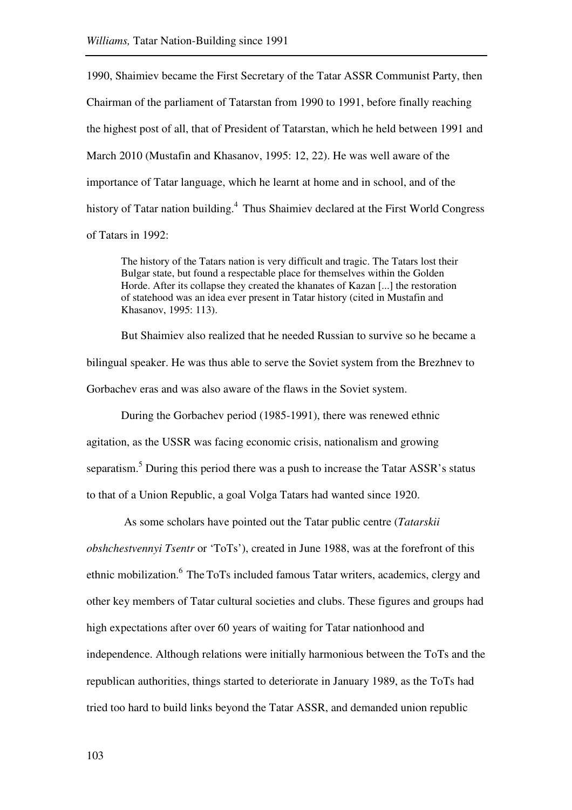1990, Shaimiev became the First Secretary of the Tatar ASSR Communist Party, then Chairman of the parliament of Tatarstan from 1990 to 1991, before finally reaching the highest post of all, that of President of Tatarstan, which he held between 1991 and March 2010 (Mustafin and Khasanov, 1995: 12, 22). He was well aware of the importance of Tatar language, which he learnt at home and in school, and of the history of Tatar nation building.<sup>4</sup> Thus Shaimiev declared at the First World Congress of Tatars in 1992:

The history of the Tatars nation is very difficult and tragic. The Tatars lost their Bulgar state, but found a respectable place for themselves within the Golden Horde. After its collapse they created the khanates of Kazan [...] the restoration of statehood was an idea ever present in Tatar history (cited in Mustafin and Khasanov, 1995: 113).

But Shaimiev also realized that he needed Russian to survive so he became a bilingual speaker. He was thus able to serve the Soviet system from the Brezhnev to Gorbachev eras and was also aware of the flaws in the Soviet system.

During the Gorbachev period (1985-1991), there was renewed ethnic agitation, as the USSR was facing economic crisis, nationalism and growing separatism.<sup>5</sup> During this period there was a push to increase the Tatar ASSR's status to that of a Union Republic, a goal Volga Tatars had wanted since 1920.

 As some scholars have pointed out the Tatar public centre (*Tatarskii obshchestvennyi Tsentr* or 'ToTs'), created in June 1988, was at the forefront of this ethnic mobilization.<sup>6</sup> The ToTs included famous Tatar writers, academics, clergy and other key members of Tatar cultural societies and clubs. These figures and groups had high expectations after over 60 years of waiting for Tatar nationhood and independence. Although relations were initially harmonious between the ToTs and the republican authorities, things started to deteriorate in January 1989, as the ToTs had tried too hard to build links beyond the Tatar ASSR, and demanded union republic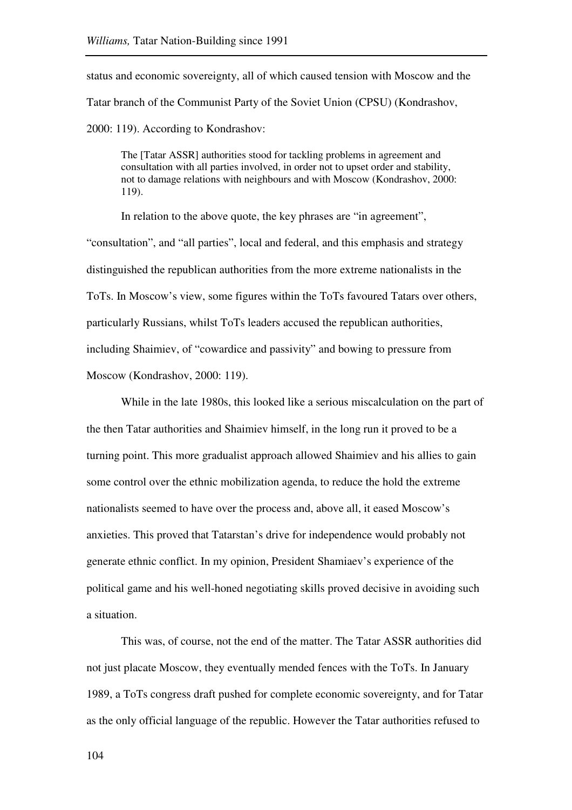status and economic sovereignty, all of which caused tension with Moscow and the Tatar branch of the Communist Party of the Soviet Union (CPSU) (Kondrashov, 2000: 119). According to Kondrashov:

The [Tatar ASSR] authorities stood for tackling problems in agreement and consultation with all parties involved, in order not to upset order and stability, not to damage relations with neighbours and with Moscow (Kondrashov, 2000: 119).

In relation to the above quote, the key phrases are "in agreement",

"consultation", and "all parties", local and federal, and this emphasis and strategy distinguished the republican authorities from the more extreme nationalists in the ToTs. In Moscow's view, some figures within the ToTs favoured Tatars over others, particularly Russians, whilst ToTs leaders accused the republican authorities, including Shaimiev, of "cowardice and passivity" and bowing to pressure from Moscow (Kondrashov, 2000: 119).

While in the late 1980s, this looked like a serious miscalculation on the part of the then Tatar authorities and Shaimiev himself, in the long run it proved to be a turning point. This more gradualist approach allowed Shaimiev and his allies to gain some control over the ethnic mobilization agenda, to reduce the hold the extreme nationalists seemed to have over the process and, above all, it eased Moscow's anxieties. This proved that Tatarstan's drive for independence would probably not generate ethnic conflict. In my opinion, President Shamiaev's experience of the political game and his well-honed negotiating skills proved decisive in avoiding such a situation.

This was, of course, not the end of the matter. The Tatar ASSR authorities did not just placate Moscow, they eventually mended fences with the ToTs. In January 1989, a ToTs congress draft pushed for complete economic sovereignty, and for Tatar as the only official language of the republic. However the Tatar authorities refused to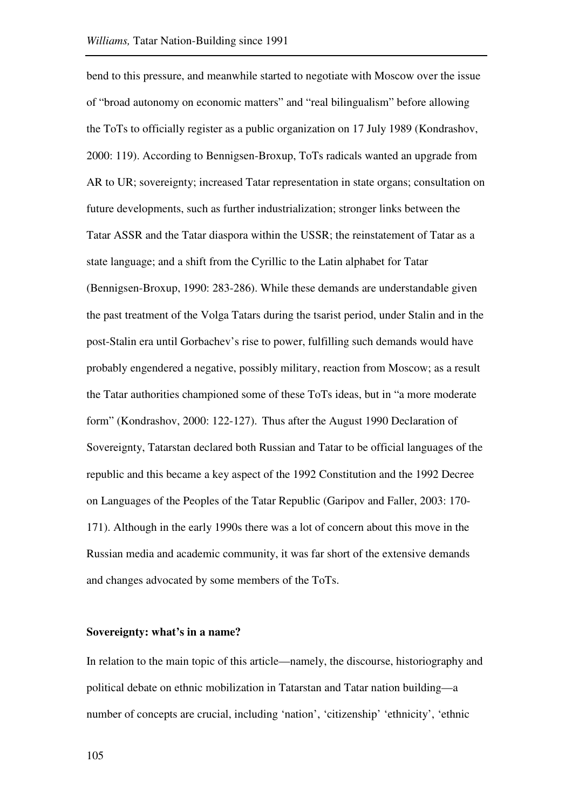bend to this pressure, and meanwhile started to negotiate with Moscow over the issue of "broad autonomy on economic matters" and "real bilingualism" before allowing the ToTs to officially register as a public organization on 17 July 1989 (Kondrashov, 2000: 119). According to Bennigsen-Broxup, ToTs radicals wanted an upgrade from AR to UR; sovereignty; increased Tatar representation in state organs; consultation on future developments, such as further industrialization; stronger links between the Tatar ASSR and the Tatar diaspora within the USSR; the reinstatement of Tatar as a state language; and a shift from the Cyrillic to the Latin alphabet for Tatar (Bennigsen-Broxup, 1990: 283-286). While these demands are understandable given the past treatment of the Volga Tatars during the tsarist period, under Stalin and in the post-Stalin era until Gorbachev's rise to power, fulfilling such demands would have probably engendered a negative, possibly military, reaction from Moscow; as a result the Tatar authorities championed some of these ToTs ideas, but in "a more moderate form" (Kondrashov, 2000: 122-127). Thus after the August 1990 Declaration of Sovereignty, Tatarstan declared both Russian and Tatar to be official languages of the republic and this became a key aspect of the 1992 Constitution and the 1992 Decree on Languages of the Peoples of the Tatar Republic (Garipov and Faller, 2003: 170- 171). Although in the early 1990s there was a lot of concern about this move in the Russian media and academic community, it was far short of the extensive demands and changes advocated by some members of the ToTs.

#### **Sovereignty: what's in a name?**

In relation to the main topic of this article—namely, the discourse, historiography and political debate on ethnic mobilization in Tatarstan and Tatar nation building—a number of concepts are crucial, including 'nation', 'citizenship' 'ethnicity', 'ethnic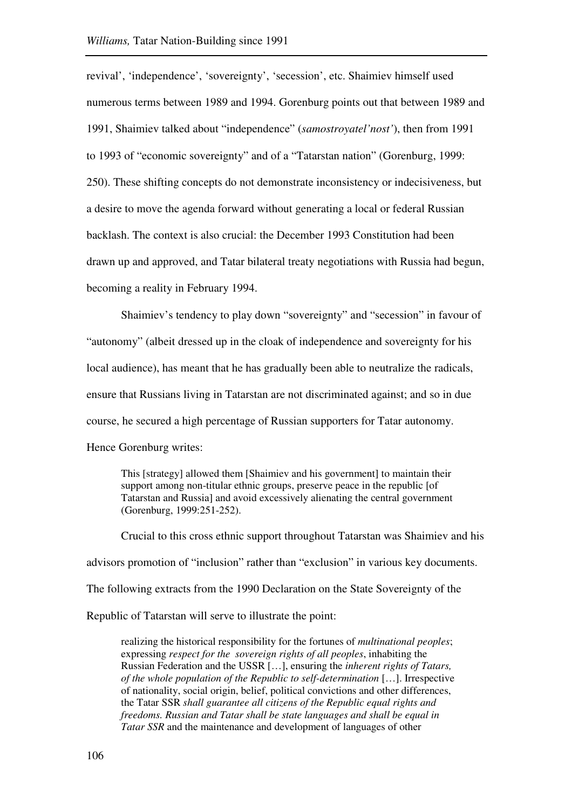revival', 'independence', 'sovereignty', 'secession', etc. Shaimiev himself used numerous terms between 1989 and 1994. Gorenburg points out that between 1989 and 1991, Shaimiev talked about "independence" (*samostroyatel'nost'*), then from 1991 to 1993 of "economic sovereignty" and of a "Tatarstan nation" (Gorenburg, 1999: 250). These shifting concepts do not demonstrate inconsistency or indecisiveness, but a desire to move the agenda forward without generating a local or federal Russian backlash. The context is also crucial: the December 1993 Constitution had been drawn up and approved, and Tatar bilateral treaty negotiations with Russia had begun, becoming a reality in February 1994.

Shaimiev's tendency to play down "sovereignty" and "secession" in favour of "autonomy" (albeit dressed up in the cloak of independence and sovereignty for his local audience), has meant that he has gradually been able to neutralize the radicals, ensure that Russians living in Tatarstan are not discriminated against; and so in due course, he secured a high percentage of Russian supporters for Tatar autonomy. Hence Gorenburg writes:

This [strategy] allowed them [Shaimiev and his government] to maintain their support among non-titular ethnic groups, preserve peace in the republic [of] Tatarstan and Russia] and avoid excessively alienating the central government (Gorenburg, 1999:251-252).

Crucial to this cross ethnic support throughout Tatarstan was Shaimiev and his advisors promotion of "inclusion" rather than "exclusion" in various key documents. The following extracts from the 1990 Declaration on the State Sovereignty of the Republic of Tatarstan will serve to illustrate the point:

realizing the historical responsibility for the fortunes of *multinational peoples*; expressing *respect for the sovereign rights of all peoples*, inhabiting the Russian Federation and the USSR […], ensuring the *inherent rights of Tatars, of the whole population of the Republic to self-determination* […]. Irrespective of nationality, social origin, belief, political convictions and other differences, the Tatar SSR *shall guarantee all citizens of the Republic equal rights and freedoms. Russian and Tatar shall be state languages and shall be equal in Tatar SSR* and the maintenance and development of languages of other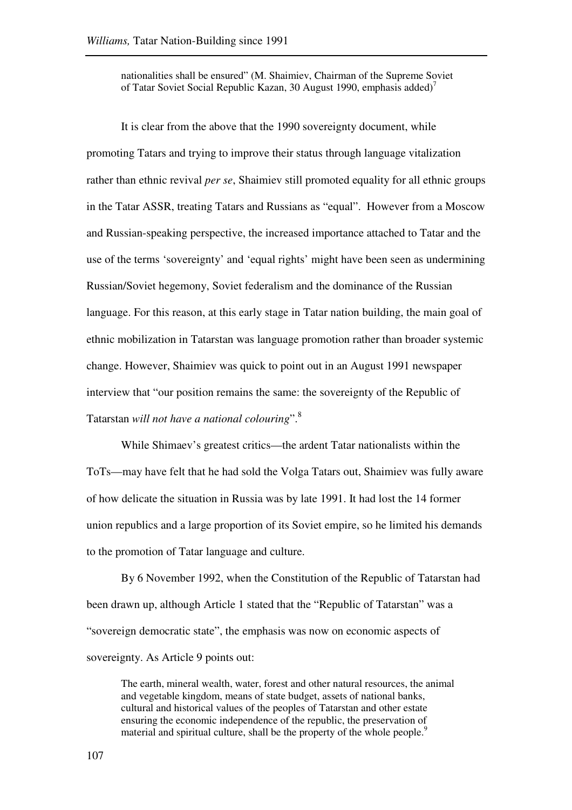nationalities shall be ensured" (M. Shaimiev, Chairman of the Supreme Soviet of Tatar Soviet Social Republic Kazan, 30 August 1990, emphasis added)<sup>7</sup>

It is clear from the above that the 1990 sovereignty document, while promoting Tatars and trying to improve their status through language vitalization rather than ethnic revival *per se*, Shaimiev still promoted equality for all ethnic groups in the Tatar ASSR, treating Tatars and Russians as "equal". However from a Moscow and Russian-speaking perspective, the increased importance attached to Tatar and the use of the terms 'sovereignty' and 'equal rights' might have been seen as undermining Russian/Soviet hegemony, Soviet federalism and the dominance of the Russian language. For this reason, at this early stage in Tatar nation building, the main goal of ethnic mobilization in Tatarstan was language promotion rather than broader systemic change. However, Shaimiev was quick to point out in an August 1991 newspaper interview that "our position remains the same: the sovereignty of the Republic of Tatarstan *will not have a national colouring*".<sup>8</sup>

While Shimaev's greatest critics—the ardent Tatar nationalists within the ToTs—may have felt that he had sold the Volga Tatars out, Shaimiev was fully aware of how delicate the situation in Russia was by late 1991. It had lost the 14 former union republics and a large proportion of its Soviet empire, so he limited his demands to the promotion of Tatar language and culture.

By 6 November 1992, when the Constitution of the Republic of Tatarstan had been drawn up, although Article 1 stated that the "Republic of Tatarstan" was a "sovereign democratic state", the emphasis was now on economic aspects of sovereignty. As Article 9 points out:

The earth, mineral wealth, water, forest and other natural resources, the animal and vegetable kingdom, means of state budget, assets of national banks, cultural and historical values of the peoples of Tatarstan and other estate ensuring the economic independence of the republic, the preservation of material and spiritual culture, shall be the property of the whole people.<sup>9</sup>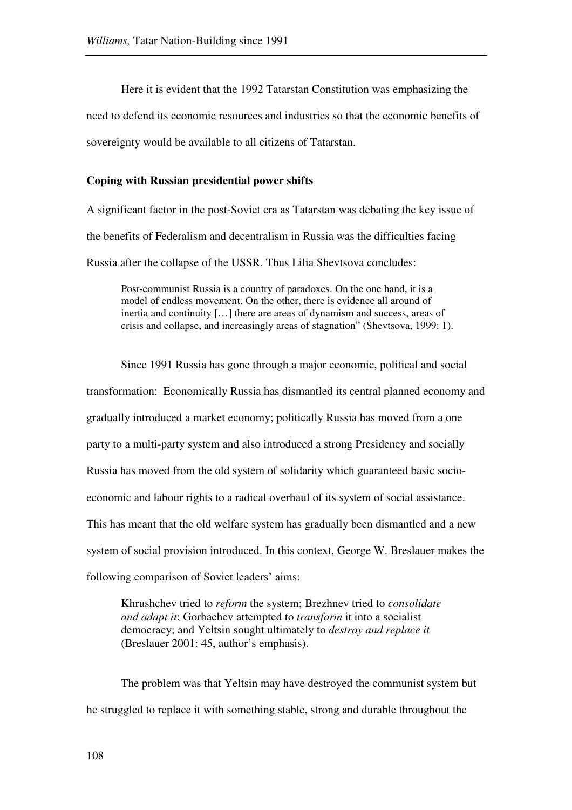Here it is evident that the 1992 Tatarstan Constitution was emphasizing the need to defend its economic resources and industries so that the economic benefits of sovereignty would be available to all citizens of Tatarstan.

# **Coping with Russian presidential power shifts**

A significant factor in the post-Soviet era as Tatarstan was debating the key issue of the benefits of Federalism and decentralism in Russia was the difficulties facing Russia after the collapse of the USSR. Thus Lilia Shevtsova concludes:

Post-communist Russia is a country of paradoxes. On the one hand, it is a model of endless movement. On the other, there is evidence all around of inertia and continuity […] there are areas of dynamism and success, areas of crisis and collapse, and increasingly areas of stagnation" (Shevtsova, 1999: 1).

Since 1991 Russia has gone through a major economic, political and social transformation: Economically Russia has dismantled its central planned economy and gradually introduced a market economy; politically Russia has moved from a one party to a multi-party system and also introduced a strong Presidency and socially Russia has moved from the old system of solidarity which guaranteed basic socioeconomic and labour rights to a radical overhaul of its system of social assistance. This has meant that the old welfare system has gradually been dismantled and a new system of social provision introduced. In this context, George W. Breslauer makes the following comparison of Soviet leaders' aims:

Khrushchev tried to *reform* the system; Brezhnev tried to *consolidate and adapt it*; Gorbachev attempted to *transform* it into a socialist democracy; and Yeltsin sought ultimately to *destroy and replace it* (Breslauer 2001: 45, author's emphasis).

The problem was that Yeltsin may have destroyed the communist system but he struggled to replace it with something stable, strong and durable throughout the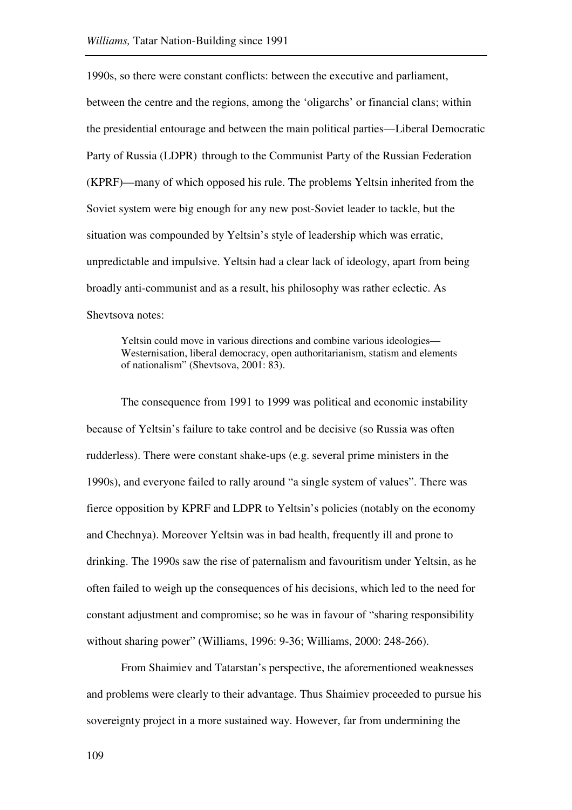1990s, so there were constant conflicts: between the executive and parliament, between the centre and the regions, among the 'oligarchs' or financial clans; within the presidential entourage and between the main political parties—Liberal Democratic Party of Russia (LDPR) through to the Communist Party of the Russian Federation (KPRF)—many of which opposed his rule. The problems Yeltsin inherited from the Soviet system were big enough for any new post-Soviet leader to tackle, but the situation was compounded by Yeltsin's style of leadership which was erratic, unpredictable and impulsive. Yeltsin had a clear lack of ideology, apart from being broadly anti-communist and as a result, his philosophy was rather eclectic. As Shevtsova notes:

Yeltsin could move in various directions and combine various ideologies— Westernisation, liberal democracy, open authoritarianism, statism and elements of nationalism" (Shevtsova, 2001: 83).

The consequence from 1991 to 1999 was political and economic instability because of Yeltsin's failure to take control and be decisive (so Russia was often rudderless). There were constant shake-ups (e.g. several prime ministers in the 1990s), and everyone failed to rally around "a single system of values". There was fierce opposition by KPRF and LDPR to Yeltsin's policies (notably on the economy and Chechnya). Moreover Yeltsin was in bad health, frequently ill and prone to drinking. The 1990s saw the rise of paternalism and favouritism under Yeltsin, as he often failed to weigh up the consequences of his decisions, which led to the need for constant adjustment and compromise; so he was in favour of "sharing responsibility without sharing power" (Williams, 1996: 9-36; Williams, 2000: 248-266).

From Shaimiev and Tatarstan's perspective, the aforementioned weaknesses and problems were clearly to their advantage. Thus Shaimiev proceeded to pursue his sovereignty project in a more sustained way. However, far from undermining the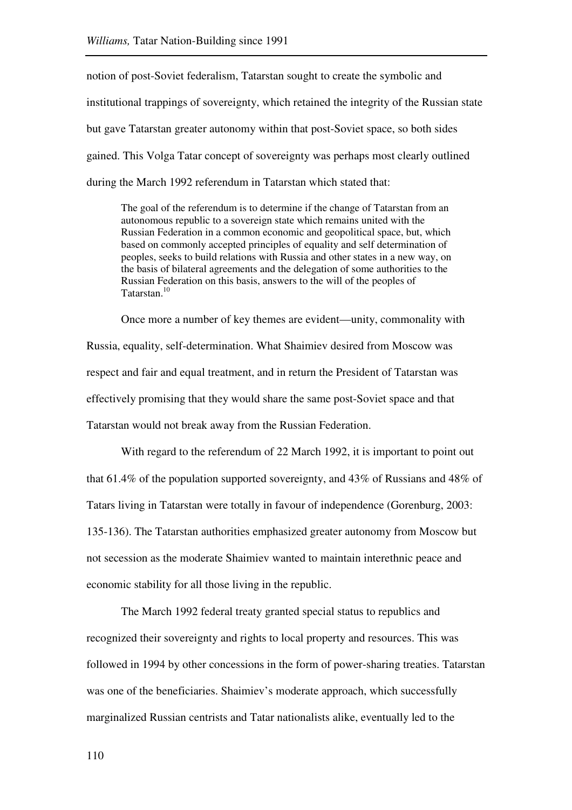notion of post-Soviet federalism, Tatarstan sought to create the symbolic and institutional trappings of sovereignty, which retained the integrity of the Russian state but gave Tatarstan greater autonomy within that post-Soviet space, so both sides gained. This Volga Tatar concept of sovereignty was perhaps most clearly outlined during the March 1992 referendum in Tatarstan which stated that:

The goal of the referendum is to determine if the change of Tatarstan from an autonomous republic to a sovereign state which remains united with the Russian Federation in a common economic and geopolitical space, but, which based on commonly accepted principles of equality and self determination of peoples, seeks to build relations with Russia and other states in a new way, on the basis of bilateral agreements and the delegation of some authorities to the Russian Federation on this basis, answers to the will of the peoples of Tatarstan.<sup>10</sup>

Once more a number of key themes are evident—unity, commonality with Russia, equality, self-determination. What Shaimiev desired from Moscow was respect and fair and equal treatment, and in return the President of Tatarstan was effectively promising that they would share the same post-Soviet space and that Tatarstan would not break away from the Russian Federation.

With regard to the referendum of 22 March 1992, it is important to point out that 61.4% of the population supported sovereignty, and 43% of Russians and 48% of Tatars living in Tatarstan were totally in favour of independence (Gorenburg, 2003: 135-136). The Tatarstan authorities emphasized greater autonomy from Moscow but not secession as the moderate Shaimiev wanted to maintain interethnic peace and economic stability for all those living in the republic.

The March 1992 federal treaty granted special status to republics and recognized their sovereignty and rights to local property and resources. This was followed in 1994 by other concessions in the form of power-sharing treaties. Tatarstan was one of the beneficiaries. Shaimiev's moderate approach, which successfully marginalized Russian centrists and Tatar nationalists alike, eventually led to the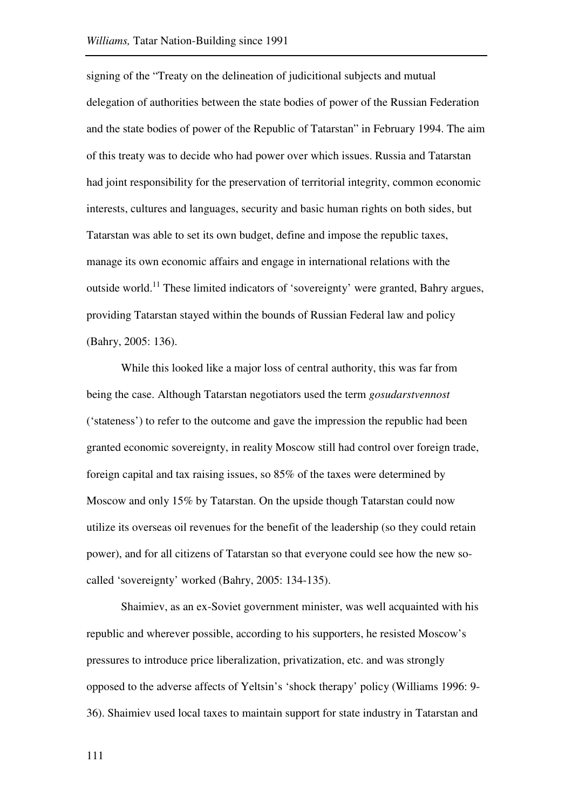signing of the "Treaty on the delineation of judicitional subjects and mutual delegation of authorities between the state bodies of power of the Russian Federation and the state bodies of power of the Republic of Tatarstan" in February 1994. The aim of this treaty was to decide who had power over which issues. Russia and Tatarstan had joint responsibility for the preservation of territorial integrity, common economic interests, cultures and languages, security and basic human rights on both sides, but Tatarstan was able to set its own budget, define and impose the republic taxes, manage its own economic affairs and engage in international relations with the outside world.<sup>11</sup> These limited indicators of 'sovereignty' were granted, Bahry argues, providing Tatarstan stayed within the bounds of Russian Federal law and policy (Bahry, 2005: 136).

While this looked like a major loss of central authority, this was far from being the case. Although Tatarstan negotiators used the term *gosudarstvennost* ('stateness') to refer to the outcome and gave the impression the republic had been granted economic sovereignty, in reality Moscow still had control over foreign trade, foreign capital and tax raising issues, so 85% of the taxes were determined by Moscow and only 15% by Tatarstan. On the upside though Tatarstan could now utilize its overseas oil revenues for the benefit of the leadership (so they could retain power), and for all citizens of Tatarstan so that everyone could see how the new socalled 'sovereignty' worked (Bahry, 2005: 134-135).

Shaimiev, as an ex-Soviet government minister, was well acquainted with his republic and wherever possible, according to his supporters, he resisted Moscow's pressures to introduce price liberalization, privatization, etc. and was strongly opposed to the adverse affects of Yeltsin's 'shock therapy' policy (Williams 1996: 9- 36). Shaimiev used local taxes to maintain support for state industry in Tatarstan and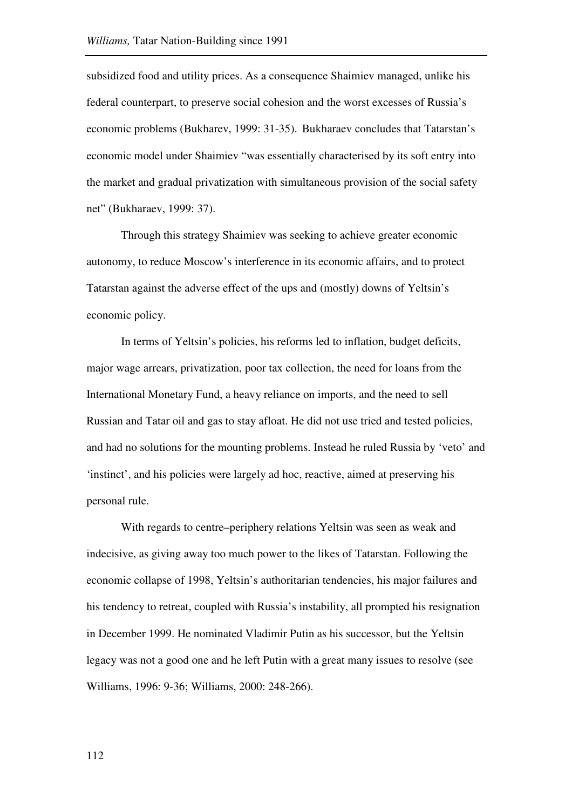subsidized food and utility prices. As a consequence Shaimiev managed, unlike his federal counterpart, to preserve social cohesion and the worst excesses of Russia's economic problems (Bukharev, 1999: 31-35). Bukharaev concludes that Tatarstan's economic model under Shaimiev "was essentially characterised by its soft entry into the market and gradual privatization with simultaneous provision of the social safety net" (Bukharaev, 1999: 37).

Through this strategy Shaimiev was seeking to achieve greater economic autonomy, to reduce Moscow's interference in its economic affairs, and to protect Tatarstan against the adverse effect of the ups and (mostly) downs of Yeltsin's economic policy.

In terms of Yeltsin's policies, his reforms led to inflation, budget deficits, major wage arrears, privatization, poor tax collection, the need for loans from the International Monetary Fund, a heavy reliance on imports, and the need to sell Russian and Tatar oil and gas to stay afloat. He did not use tried and tested policies, and had no solutions for the mounting problems. Instead he ruled Russia by 'veto' and 'instinct', and his policies were largely ad hoc, reactive, aimed at preserving his personal rule.

With regards to centre–periphery relations Yeltsin was seen as weak and indecisive, as giving away too much power to the likes of Tatarstan. Following the economic collapse of 1998, Yeltsin's authoritarian tendencies, his major failures and his tendency to retreat, coupled with Russia's instability, all prompted his resignation in December 1999. He nominated Vladimir Putin as his successor, but the Yeltsin legacy was not a good one and he left Putin with a great many issues to resolve (see Williams, 1996: 9-36; Williams, 2000: 248-266).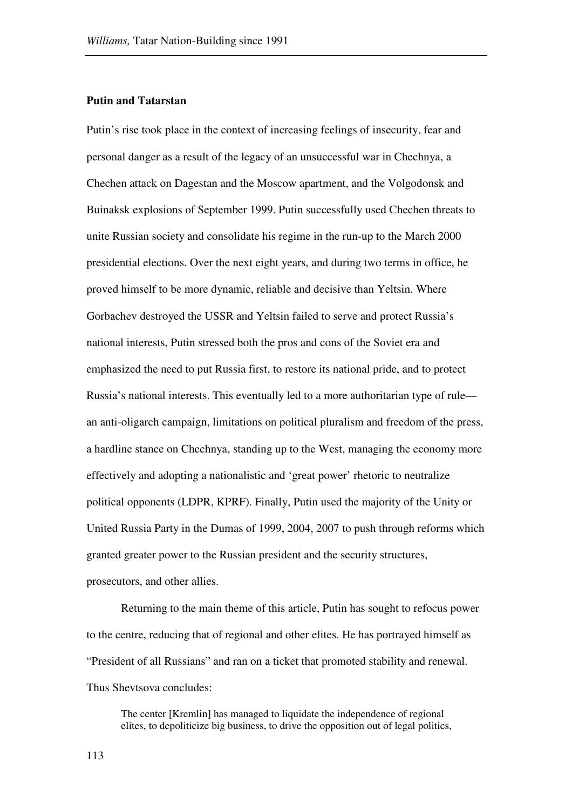# **Putin and Tatarstan**

Putin's rise took place in the context of increasing feelings of insecurity, fear and personal danger as a result of the legacy of an unsuccessful war in Chechnya, a Chechen attack on Dagestan and the Moscow apartment, and the Volgodonsk and Buinaksk explosions of September 1999. Putin successfully used Chechen threats to unite Russian society and consolidate his regime in the run-up to the March 2000 presidential elections. Over the next eight years, and during two terms in office, he proved himself to be more dynamic, reliable and decisive than Yeltsin. Where Gorbachev destroyed the USSR and Yeltsin failed to serve and protect Russia's national interests, Putin stressed both the pros and cons of the Soviet era and emphasized the need to put Russia first, to restore its national pride, and to protect Russia's national interests. This eventually led to a more authoritarian type of rule an anti-oligarch campaign, limitations on political pluralism and freedom of the press, a hardline stance on Chechnya, standing up to the West, managing the economy more effectively and adopting a nationalistic and 'great power' rhetoric to neutralize political opponents (LDPR, KPRF). Finally, Putin used the majority of the Unity or United Russia Party in the Dumas of 1999, 2004, 2007 to push through reforms which granted greater power to the Russian president and the security structures, prosecutors, and other allies.

Returning to the main theme of this article, Putin has sought to refocus power to the centre, reducing that of regional and other elites. He has portrayed himself as "President of all Russians" and ran on a ticket that promoted stability and renewal. Thus Shevtsova concludes:

The center [Kremlin] has managed to liquidate the independence of regional elites, to depoliticize big business, to drive the opposition out of legal politics,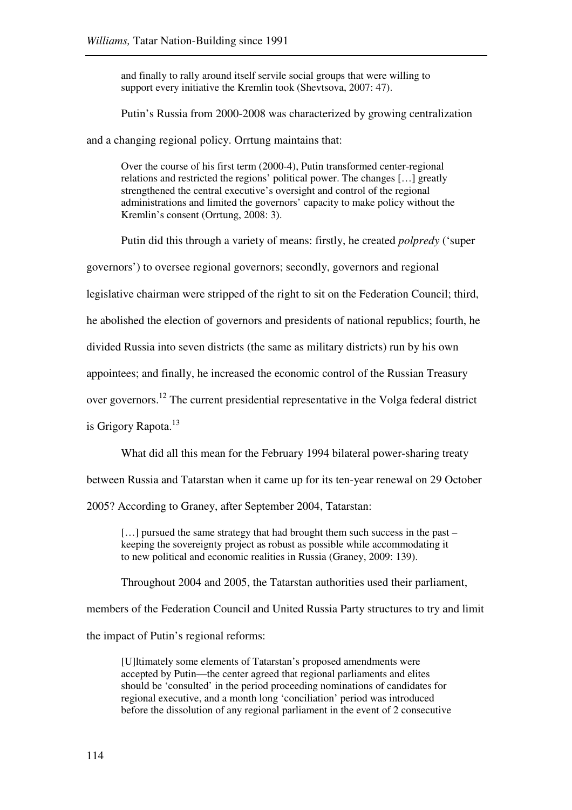and finally to rally around itself servile social groups that were willing to support every initiative the Kremlin took (Shevtsova, 2007: 47).

Putin's Russia from 2000-2008 was characterized by growing centralization

and a changing regional policy. Orrtung maintains that:

Over the course of his first term (2000-4), Putin transformed center-regional relations and restricted the regions' political power. The changes […] greatly strengthened the central executive's oversight and control of the regional administrations and limited the governors' capacity to make policy without the Kremlin's consent (Orrtung, 2008: 3).

Putin did this through a variety of means: firstly, he created *polpredy* ('super

governors') to oversee regional governors; secondly, governors and regional

legislative chairman were stripped of the right to sit on the Federation Council; third,

he abolished the election of governors and presidents of national republics; fourth, he

divided Russia into seven districts (the same as military districts) run by his own

appointees; and finally, he increased the economic control of the Russian Treasury

over governors.<sup>12</sup> The current presidential representative in the Volga federal district

is Grigory Rapota.<sup>13</sup>

What did all this mean for the February 1994 bilateral power-sharing treaty

between Russia and Tatarstan when it came up for its ten-year renewal on 29 October

2005? According to Graney, after September 2004, Tatarstan:

[...] pursued the same strategy that had brought them such success in the past – keeping the sovereignty project as robust as possible while accommodating it to new political and economic realities in Russia (Graney, 2009: 139).

Throughout 2004 and 2005, the Tatarstan authorities used their parliament,

members of the Federation Council and United Russia Party structures to try and limit

the impact of Putin's regional reforms:

[U]ltimately some elements of Tatarstan's proposed amendments were accepted by Putin—the center agreed that regional parliaments and elites should be 'consulted' in the period proceeding nominations of candidates for regional executive, and a month long 'conciliation' period was introduced before the dissolution of any regional parliament in the event of 2 consecutive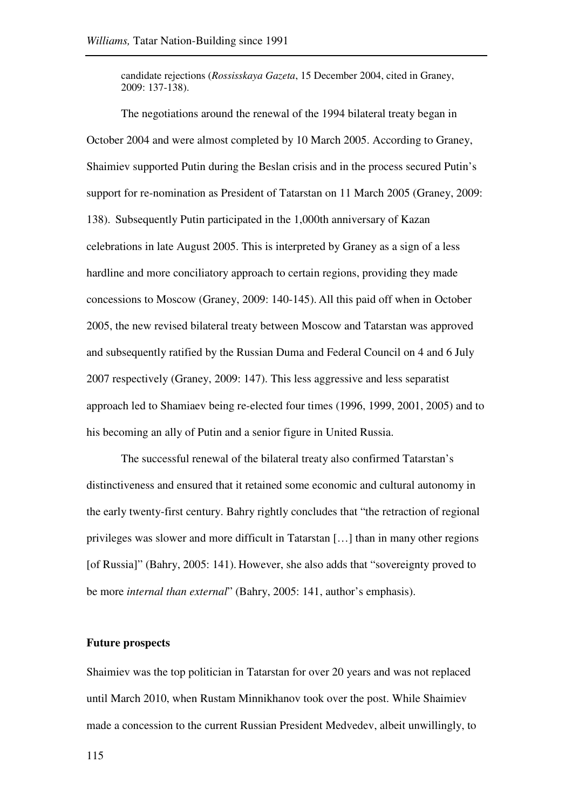candidate rejections (*Rossisskaya Gazeta*, 15 December 2004, cited in Graney, 2009: 137-138).

The negotiations around the renewal of the 1994 bilateral treaty began in October 2004 and were almost completed by 10 March 2005. According to Graney, Shaimiev supported Putin during the Beslan crisis and in the process secured Putin's support for re-nomination as President of Tatarstan on 11 March 2005 (Graney, 2009: 138). Subsequently Putin participated in the 1,000th anniversary of Kazan celebrations in late August 2005. This is interpreted by Graney as a sign of a less hardline and more conciliatory approach to certain regions, providing they made concessions to Moscow (Graney, 2009: 140-145). All this paid off when in October 2005, the new revised bilateral treaty between Moscow and Tatarstan was approved and subsequently ratified by the Russian Duma and Federal Council on 4 and 6 July 2007 respectively (Graney, 2009: 147). This less aggressive and less separatist approach led to Shamiaev being re-elected four times (1996, 1999, 2001, 2005) and to his becoming an ally of Putin and a senior figure in United Russia.

The successful renewal of the bilateral treaty also confirmed Tatarstan's distinctiveness and ensured that it retained some economic and cultural autonomy in the early twenty-first century. Bahry rightly concludes that "the retraction of regional privileges was slower and more difficult in Tatarstan […] than in many other regions [of Russia]" (Bahry, 2005: 141). However, she also adds that "sovereignty proved to be more *internal than external*" (Bahry, 2005: 141, author's emphasis).

# **Future prospects**

Shaimiev was the top politician in Tatarstan for over 20 years and was not replaced until March 2010, when Rustam Minnikhanov took over the post. While Shaimiev made a concession to the current Russian President Medvedev, albeit unwillingly, to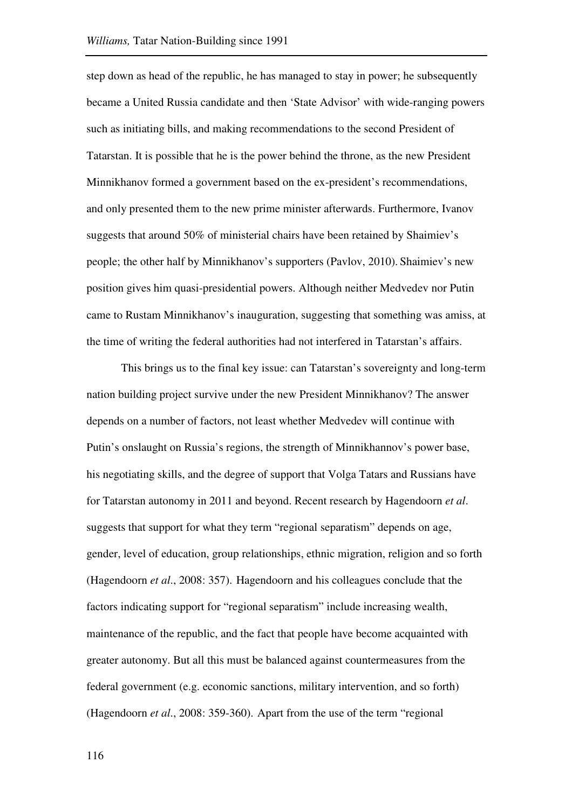step down as head of the republic, he has managed to stay in power; he subsequently became a United Russia candidate and then 'State Advisor' with wide-ranging powers such as initiating bills, and making recommendations to the second President of Tatarstan. It is possible that he is the power behind the throne, as the new President Minnikhanov formed a government based on the ex-president's recommendations, and only presented them to the new prime minister afterwards. Furthermore, Ivanov suggests that around 50% of ministerial chairs have been retained by Shaimiev's people; the other half by Minnikhanov's supporters (Pavlov, 2010). Shaimiev's new position gives him quasi-presidential powers. Although neither Medvedev nor Putin came to Rustam Minnikhanov's inauguration, suggesting that something was amiss, at the time of writing the federal authorities had not interfered in Tatarstan's affairs.

This brings us to the final key issue: can Tatarstan's sovereignty and long-term nation building project survive under the new President Minnikhanov? The answer depends on a number of factors, not least whether Medvedev will continue with Putin's onslaught on Russia's regions, the strength of Minnikhannov's power base, his negotiating skills, and the degree of support that Volga Tatars and Russians have for Tatarstan autonomy in 2011 and beyond. Recent research by Hagendoorn *et al*. suggests that support for what they term "regional separatism" depends on age, gender, level of education, group relationships, ethnic migration, religion and so forth (Hagendoorn *et al*., 2008: 357). Hagendoorn and his colleagues conclude that the factors indicating support for "regional separatism" include increasing wealth, maintenance of the republic, and the fact that people have become acquainted with greater autonomy. But all this must be balanced against countermeasures from the federal government (e.g. economic sanctions, military intervention, and so forth) (Hagendoorn *et al*., 2008: 359-360). Apart from the use of the term "regional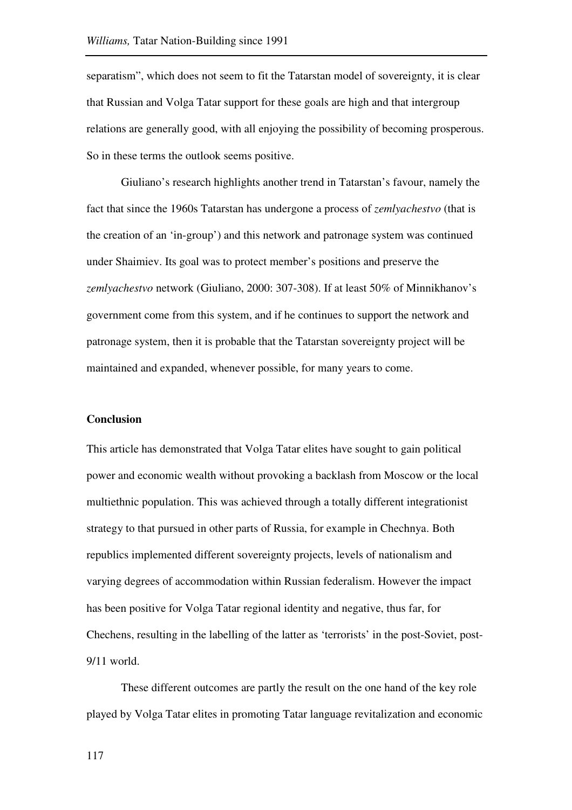separatism", which does not seem to fit the Tatarstan model of sovereignty, it is clear that Russian and Volga Tatar support for these goals are high and that intergroup relations are generally good, with all enjoying the possibility of becoming prosperous. So in these terms the outlook seems positive.

Giuliano's research highlights another trend in Tatarstan's favour, namely the fact that since the 1960s Tatarstan has undergone a process of *zemlyachestvo* (that is the creation of an 'in-group') and this network and patronage system was continued under Shaimiev. Its goal was to protect member's positions and preserve the *zemlyachestvo* network (Giuliano, 2000: 307-308). If at least 50% of Minnikhanov's government come from this system, and if he continues to support the network and patronage system, then it is probable that the Tatarstan sovereignty project will be maintained and expanded, whenever possible, for many years to come.

#### **Conclusion**

This article has demonstrated that Volga Tatar elites have sought to gain political power and economic wealth without provoking a backlash from Moscow or the local multiethnic population. This was achieved through a totally different integrationist strategy to that pursued in other parts of Russia, for example in Chechnya. Both republics implemented different sovereignty projects, levels of nationalism and varying degrees of accommodation within Russian federalism. However the impact has been positive for Volga Tatar regional identity and negative, thus far, for Chechens, resulting in the labelling of the latter as 'terrorists' in the post-Soviet, post-9/11 world.

These different outcomes are partly the result on the one hand of the key role played by Volga Tatar elites in promoting Tatar language revitalization and economic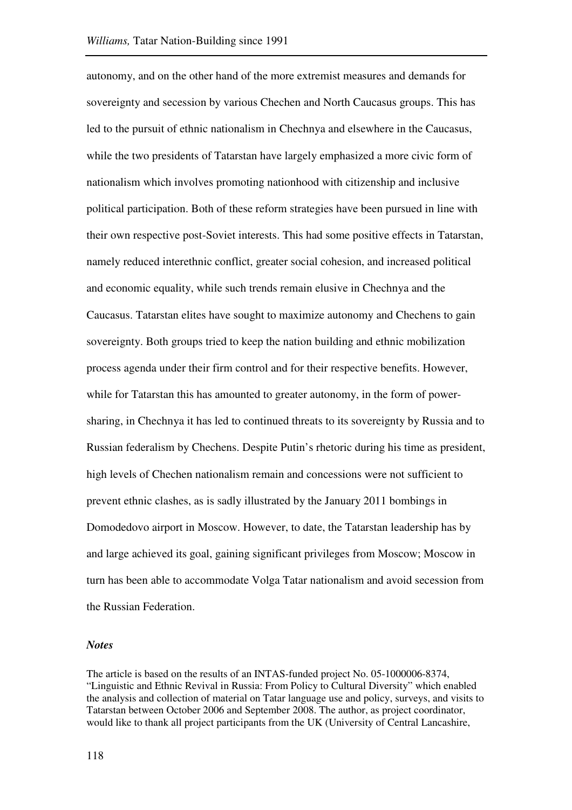autonomy, and on the other hand of the more extremist measures and demands for sovereignty and secession by various Chechen and North Caucasus groups. This has led to the pursuit of ethnic nationalism in Chechnya and elsewhere in the Caucasus, while the two presidents of Tatarstan have largely emphasized a more civic form of nationalism which involves promoting nationhood with citizenship and inclusive political participation. Both of these reform strategies have been pursued in line with their own respective post-Soviet interests. This had some positive effects in Tatarstan, namely reduced interethnic conflict, greater social cohesion, and increased political and economic equality, while such trends remain elusive in Chechnya and the Caucasus. Tatarstan elites have sought to maximize autonomy and Chechens to gain sovereignty. Both groups tried to keep the nation building and ethnic mobilization process agenda under their firm control and for their respective benefits. However, while for Tatarstan this has amounted to greater autonomy, in the form of powersharing, in Chechnya it has led to continued threats to its sovereignty by Russia and to Russian federalism by Chechens. Despite Putin's rhetoric during his time as president, high levels of Chechen nationalism remain and concessions were not sufficient to prevent ethnic clashes, as is sadly illustrated by the January 2011 bombings in Domodedovo airport in Moscow. However, to date, the Tatarstan leadership has by and large achieved its goal, gaining significant privileges from Moscow; Moscow in turn has been able to accommodate Volga Tatar nationalism and avoid secession from the Russian Federation.

#### *Notes*

The article is based on the results of an INTAS-funded project No. 05-1000006-8374, "Linguistic and Ethnic Revival in Russia: From Policy to Cultural Diversity" which enabled the analysis and collection of material on Tatar language use and policy, surveys, and visits to Tatarstan between October 2006 and September 2008. The author, as project coordinator, would like to thank all project participants from the UK (University of Central Lancashire,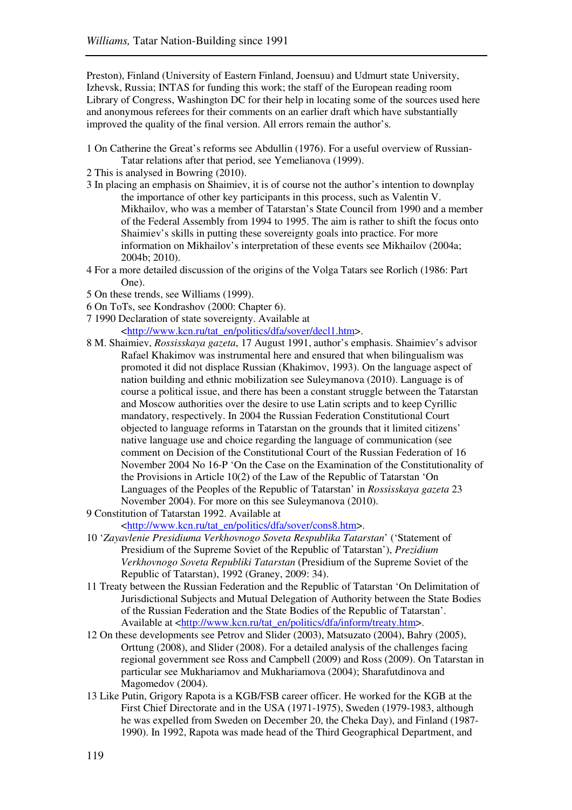Preston), Finland (University of Eastern Finland, Joensuu) and Udmurt state University, Izhevsk, Russia; INTAS for funding this work; the staff of the European reading room Library of Congress, Washington DC for their help in locating some of the sources used here and anonymous referees for their comments on an earlier draft which have substantially improved the quality of the final version. All errors remain the author's.

- 1 On Catherine the Great's reforms see Abdullin (1976). For a useful overview of Russian-Tatar relations after that period, see Yemelianova (1999).
- 2 This is analysed in Bowring (2010).
- 3 In placing an emphasis on Shaimiev, it is of course not the author's intention to downplay the importance of other key participants in this process, such as Valentin V. Mikhailov, who was a member of Tatarstan's State Council from 1990 and a member of the Federal Assembly from 1994 to 1995. The aim is rather to shift the focus onto Shaimiev's skills in putting these sovereignty goals into practice. For more information on Mikhailov's interpretation of these events see Mikhailov (2004a; 2004b; 2010).
- 4 For a more detailed discussion of the origins of the Volga Tatars see Rorlich (1986: Part One).
- 5 On these trends, see Williams (1999).
- 6 On ToTs, see Kondrashov (2000: Chapter 6).
- 7 1990 Declaration of state sovereignty. Available at

<http://www.kcn.ru/tat\_en/politics/dfa/sover/decl1.htm>.

- 8 M. Shaimiev, *Rossisskaya gazeta*, 17 August 1991, author's emphasis. Shaimiev's advisor Rafael Khakimov was instrumental here and ensured that when bilingualism was promoted it did not displace Russian (Khakimov, 1993). On the language aspect of nation building and ethnic mobilization see Suleymanova (2010). Language is of course a political issue, and there has been a constant struggle between the Tatarstan and Moscow authorities over the desire to use Latin scripts and to keep Cyrillic mandatory, respectively. In 2004 the Russian Federation Constitutional Court objected to language reforms in Tatarstan on the grounds that it limited citizens' native language use and choice regarding the language of communication (see comment on Decision of the Constitutional Court of the Russian Federation of 16 November 2004 No 16-P 'On the Case on the Examination of the Constitutionality of the Provisions in Article 10(2) of the Law of the Republic of Tatarstan 'On Languages of the Peoples of the Republic of Tatarstan' in *Rossisskaya gazeta* 23 November 2004). For more on this see Suleymanova (2010).
- 9 Constitution of Tatarstan 1992. Available at

<http://www.kcn.ru/tat\_en/politics/dfa/sover/cons8.htm>.

- 10 '*Zayavlenie Presidiuma Verkhovnogo Soveta Respublika Tatarstan*' ('Statement of Presidium of the Supreme Soviet of the Republic of Tatarstan'), *Prezidium Verkhovnogo Soveta Republiki Tatarstan* (Presidium of the Supreme Soviet of the Republic of Tatarstan), 1992 (Graney, 2009: 34).
- 11 Treaty between the Russian Federation and the Republic of Tatarstan 'On Delimitation of Jurisdictional Subjects and Mutual Delegation of Authority between the State Bodies of the Russian Federation and the State Bodies of the Republic of Tatarstan'. Available at <http://www.kcn.ru/tat\_en/politics/dfa/inform/treaty.htm>.
- 12 On these developments see Petrov and Slider (2003), Matsuzato (2004), Bahry (2005), Orttung (2008), and Slider (2008). For a detailed analysis of the challenges facing regional government see Ross and Campbell (2009) and Ross (2009). On Tatarstan in particular see Mukhariamov and Mukhariamova (2004); Sharafutdinova and Magomedov (2004).
- 13 Like Putin, Grigory Rapota is a KGB/FSB career officer. He worked for the KGB at the First Chief Directorate and in the USA (1971-1975), Sweden (1979-1983, although he was expelled from Sweden on December 20, the Cheka Day), and Finland (1987- 1990). In 1992, Rapota was made head of the Third Geographical Department, and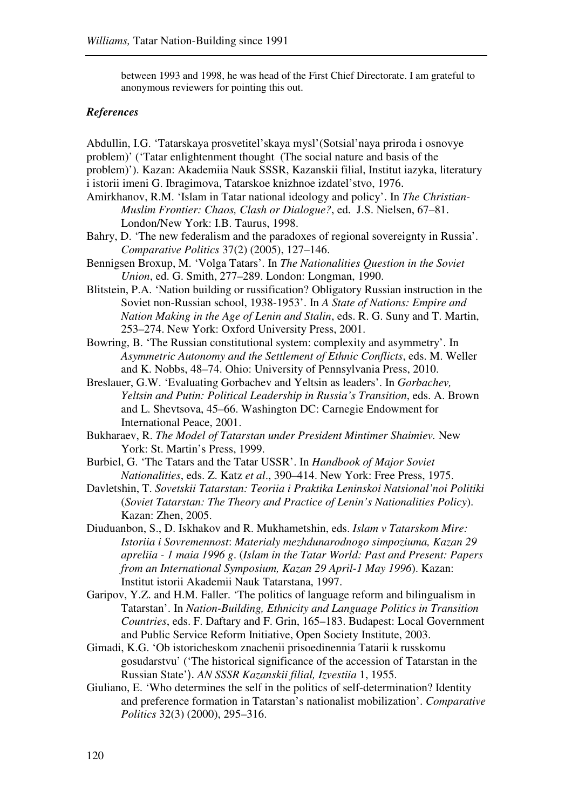between 1993 and 1998, he was head of the First Chief Directorate. I am grateful to anonymous reviewers for pointing this out.

### *References*

Abdullin, I.G. 'Tatarskaya prosvetitel'skaya mysl'(Sotsial'naya priroda i osnovye problem)' ('Tatar enlightenment thought (The social nature and basis of the

- problem)'). Kazan: Akademiia Nauk SSSR, Kazanskii filial, Institut iazyka, literatury i istorii imeni G. Ibragimova, Tatarskoe knizhnoe izdatel'stvo, 1976.
- Amirkhanov, R.M. 'Islam in Tatar national ideology and policy'. In *The Christian-Muslim Frontier: Chaos, Clash or Dialogue?*, ed. J.S. Nielsen, 67–81. London/New York: I.B. Taurus, 1998.
- Bahry, D. 'The new federalism and the paradoxes of regional sovereignty in Russia'. *Comparative Politics* 37(2) (2005), 127–146.
- Bennigsen Broxup, M. 'Volga Tatars'. In *The Nationalities Question in the Soviet Union*, ed. G. Smith, 277–289. London: Longman, 1990.
- Blitstein, P.A. 'Nation building or russification? Obligatory Russian instruction in the Soviet non-Russian school, 1938-1953'. In *A State of Nations: Empire and Nation Making in the Age of Lenin and Stalin*, eds. R. G. Suny and T. Martin, 253–274. New York: Oxford University Press, 2001.
- Bowring, B. 'The Russian constitutional system: complexity and asymmetry'. In *Asymmetric Autonomy and the Settlement of Ethnic Conflicts*, eds. M. Weller and K. Nobbs, 48–74. Ohio: University of Pennsylvania Press, 2010.
- Breslauer, G.W. 'Evaluating Gorbachev and Yeltsin as leaders'. In *Gorbachev, Yeltsin and Putin: Political Leadership in Russia's Transition*, eds. A. Brown and L. Shevtsova, 45–66. Washington DC: Carnegie Endowment for International Peace, 2001.
- Bukharaev, R. *The Model of Tatarstan under President Mintimer Shaimiev.* New York: St. Martin's Press, 1999.
- Burbiel, G. 'The Tatars and the Tatar USSR'. In *Handbook of Major Soviet Nationalities*, eds. Z. Katz *et al*., 390–414. New York: Free Press, 1975.
- Davletshin, T. *Sovetskii Tatarstan: Teoriia i Praktika Leninskoi Natsional'noi Politiki* (*Soviet Tatarstan: The Theory and Practice of Lenin's Nationalities Policy*). Kazan: Zhen, 2005.
- Diuduanbon, S., D. Iskhakov and R. Mukhametshin, eds. *Islam v Tatarskom Mire: Istoriia i Sovremennost*: *Materialy mezhdunarodnogo simpoziuma, Kazan 29 apreliia - 1 maia 1996 g*. (*Islam in the Tatar World: Past and Present: Papers from an International Symposium, Kazan 29 April-1 May 1996*). Kazan: Institut istorii Akademii Nauk Tatarstana, 1997.
- Garipov, Y.Z. and H.M. Faller. 'The politics of language reform and bilingualism in Tatarstan'. In *Nation-Building, Ethnicity and Language Politics in Transition Countries*, eds. F. Daftary and F. Grin, 165–183. Budapest: Local Government and Public Service Reform Initiative, Open Society Institute, 2003.
- Gimadi, K.G. 'Ob istoricheskom znachenii prisoedinennia Tatarii k russkomu gosudarstvu' ('The historical significance of the accession of Tatarstan in the Russian State'). *AN SSSR Kazanskii filial, Izvestiia* 1, 1955.
- Giuliano, E. 'Who determines the self in the politics of self-determination? Identity and preference formation in Tatarstan's nationalist mobilization'. *Comparative Politics* 32(3) (2000), 295–316.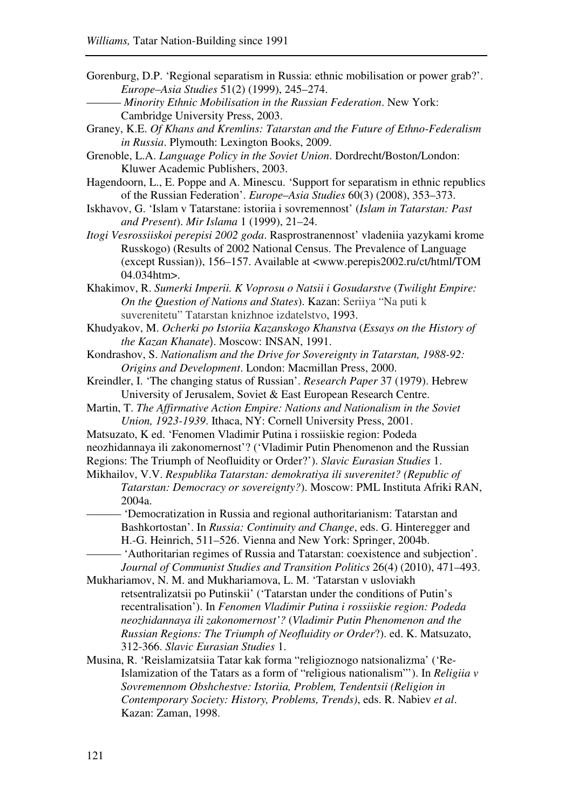- Gorenburg, D.P. 'Regional separatism in Russia: ethnic mobilisation or power grab?'. *Europe*–*Asia Studies* 51(2) (1999), 245–274.
	- ——— *Minority Ethnic Mobilisation in the Russian Federation*. New York: Cambridge University Press, 2003.
- Graney, K.E. *Of Khans and Kremlins: Tatarstan and the Future of Ethno-Federalism in Russia*. Plymouth: Lexington Books, 2009.

Grenoble, L.A. *Language Policy in the Soviet Union*. Dordrecht/Boston/London: Kluwer Academic Publishers, 2003.

- Hagendoorn, L., E. Poppe and A. Minescu. 'Support for separatism in ethnic republics of the Russian Federation'. *Europe*–*Asia Studies* 60(3) (2008), 353–373.
- Iskhavov, G. 'Islam v Tatarstane: istoriia i sovremennost' (*Islam in Tatarstan: Past and Present*). *Mir Islama* 1 (1999), 21–24.
- *Itogi Vesrossiiskoi perepisi 2002 goda*. Rasprostranennost' vladeniia yazykami krome Russkogo) (Results of 2002 National Census. The Prevalence of Language (except Russian)), 156–157. Available at <www.perepis2002.ru/ct/html/TOM 04.034htm>.
- Khakimov, R. *Sumerki Imperii. K Voprosu o Natsii i Gosudarstve* (*Twilight Empire: On the Question of Nations and States*). Kazan: Seriiya "Na puti k suverenitetu" Tatarstan knizhnoe izdatelstvo, 1993.
- Khudyakov, M. *Ocherki po Istoriia Kazanskogo Khanstva* (*Essays on the History of the Kazan Khanate*). Moscow: INSAN, 1991.
- Kondrashov, S. *Nationalism and the Drive for Sovereignty in Tatarstan, 1988-92: Origins and Development*. London: Macmillan Press, 2000.
- Kreindler, I. 'The changing status of Russian'. *Research Paper* 37 (1979). Hebrew University of Jerusalem, Soviet & East European Research Centre.
- Martin, T. *The Affirmative Action Empire: Nations and Nationalism in the Soviet Union, 1923-1939*. Ithaca, NY: Cornell University Press, 2001.
- Matsuzato, K ed. 'Fenomen Vladimir Putina i rossiiskie region: Podeda

neozhidannaya ili zakonomernost'? ('Vladimir Putin Phenomenon and the Russian Regions: The Triumph of Neofluidity or Order?'). *Slavic Eurasian Studies* 1.

Mikhailov, V.V. *Respublika Tatarstan: demokratiya ili suverenitet? (Republic of Tatarstan: Democracy or sovereignty?*). Moscow: PML Instituta Afriki RAN, 2004a.

- 'Democratization in Russia and regional authoritarianism: Tatarstan and Bashkortostan'. In *Russia: Continuity and Change*, eds. G. Hinteregger and H.-G. Heinrich, 511–526. Vienna and New York: Springer, 2004b. - 'Authoritarian regimes of Russia and Tatarstan: coexistence and subjection'.
	- *Journal of Communist Studies and Transition Politics* 26(4) (2010), 471–493.
- Mukhariamov, N. M. and Mukhariamova, L. M. 'Tatarstan v usloviakh retsentralizatsii po Putinskii' ('Tatarstan under the conditions of Putin's recentralisation'). In *Fenomen Vladimir Putina i rossiiskie region: Podeda neozhidannaya ili zakonomernost'?* (*Vladimir Putin Phenomenon and the Russian Regions: The Triumph of Neofluidity or Order*?). ed. K. Matsuzato, 312-366. *Slavic Eurasian Studies* 1.
- Musina, R. 'Reislamizatsiia Tatar kak forma "religioznogo natsionalizma' ('Re-Islamization of the Tatars as a form of "religious nationalism"'). In *Religiia v Sovremennom Obshchestve: Istoriia, Problem, Tendentsii (Religion in Contemporary Society: History, Problems, Trends)*, eds. R. Nabiev *et al*. Kazan: Zaman, 1998.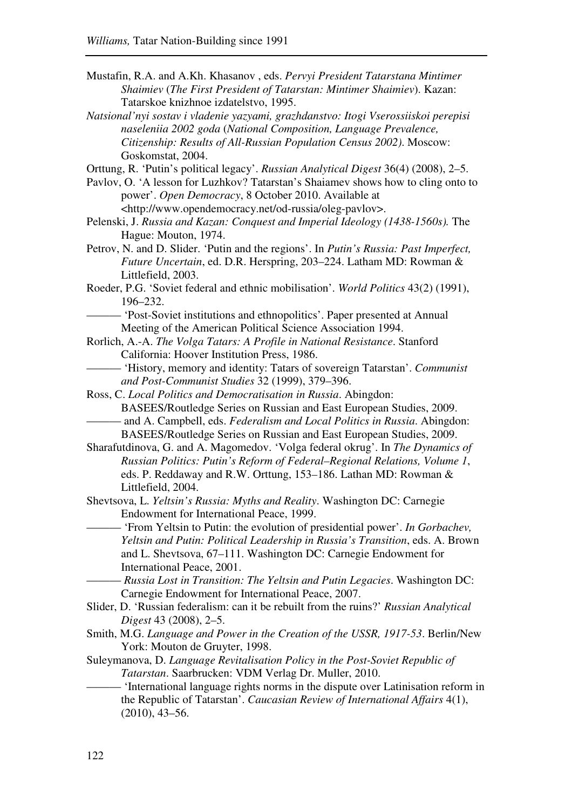- Mustafin, R.A. and A.Kh. Khasanov , eds. *Pervyi President Tatarstana Mintimer Shaimiev* (*The First President of Tatarstan: Mintimer Shaimiev*). Kazan: Tatarskoe knizhnoe izdatelstvo, 1995.
- *Natsional'nyi sostav i vladenie yazyami, grazhdanstvo: Itogi Vserossiiskoi perepisi naseleniia 2002 goda* (*National Composition, Language Prevalence, Citizenship: Results of All-Russian Population Census 2002)*. Moscow: Goskomstat, 2004.
- Orttung, R. 'Putin's political legacy'. *Russian Analytical Digest* 36(4) (2008), 2–5.
- Pavlov, O. 'A lesson for Luzhkov? Tatarstan's Shaiamev shows how to cling onto to power'. *Open Democracy*, 8 October 2010. Available at <http://www.opendemocracy.net/od-russia/oleg-pavlov>.
- Pelenski, J. *Russia and Kazan: Conquest and Imperial Ideology (1438-1560s).* The Hague: Mouton, 1974.
- Petrov, N. and D. Slider. 'Putin and the regions'. In *Putin's Russia: Past Imperfect, Future Uncertain*, ed. D.R. Herspring, 203–224. Latham MD: Rowman & Littlefield, 2003.
- Roeder, P.G. 'Soviet federal and ethnic mobilisation'. *World Politics* 43(2) (1991), 196–232.
	- 'Post-Soviet institutions and ethnopolitics'. Paper presented at Annual Meeting of the American Political Science Association 1994.
- Rorlich, A.-A. *The Volga Tatars: A Profile in National Resistance*. Stanford California: Hoover Institution Press, 1986.
- ——— 'History, memory and identity: Tatars of sovereign Tatarstan'. *Communist and Post-Communist Studies* 32 (1999), 379–396.
- Ross, C. *Local Politics and Democratisation in Russia*. Abingdon: BASEES/Routledge Series on Russian and East European Studies, 2009. ——— and A. Campbell, eds. *Federalism and Local Politics in Russia*. Abingdon: BASEES/Routledge Series on Russian and East European Studies, 2009.
- Sharafutdinova, G. and A. Magomedov. 'Volga federal okrug'. In *The Dynamics of Russian Politics: Putin's Reform of Federal–Regional Relations, Volume 1*, eds. P. Reddaway and R.W. Orttung, 153*–*186. Lathan MD: Rowman & Littlefield, 2004.
- Shevtsova, L. *Yeltsin's Russia: Myths and Reality*. Washington DC: Carnegie Endowment for International Peace, 1999.
	- ——— 'From Yeltsin to Putin: the evolution of presidential power'. *In Gorbachev, Yeltsin and Putin: Political Leadership in Russia's Transition*, eds. A. Brown and L. Shevtsova, 67–111. Washington DC: Carnegie Endowment for International Peace, 2001.
		- ——— *Russia Lost in Transition: The Yeltsin and Putin Legacies*. Washington DC: Carnegie Endowment for International Peace, 2007.
- Slider, D. 'Russian federalism: can it be rebuilt from the ruins?' *Russian Analytical Digest* 43 (2008), 2–5.
- Smith, M.G. *Language and Power in the Creation of the USSR, 1917-53*. Berlin/New York: Mouton de Gruyter, 1998.
- Suleymanova, D. *Language Revitalisation Policy in the Post-Soviet Republic of Tatarstan*. Saarbrucken: VDM Verlag Dr. Muller, 2010.
- 'International language rights norms in the dispute over Latinisation reform in the Republic of Tatarstan'. *Caucasian Review of International Affairs* 4(1), (2010), 43–56.